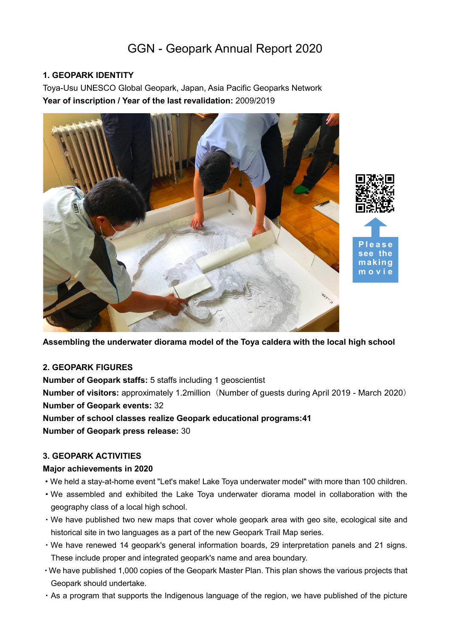# GGN - Geopark Annual Report 2020

# **1. GEOPARK IDENTITY**

Toya-Usu UNESCO Global Geopark, Japan, Asia Pacific Geoparks Network **Year of inscription / Year of the last revalidation:** 2009/2019





#### **2. GEOPARK FIGURES**

**Number of Geopark staffs:** 5 staffs including 1 geoscientist **Number of visitors:** approximately 1.2million (Number of guests during April 2019 - March 2020) **Number of Geopark events:** 32 **Number of school classes realize Geopark educational programs:41**

**Number of Geopark press release:** 30

# **3. GEOPARK ACTIVITIES**

#### **Major achievements in 2020**

- ・We held a stay-at-home event "Let's make! Lake Toya underwater model" with more than 100 children.
- ・We assembled and exhibited the Lake Toya underwater diorama model in collaboration with the geography class of a local high school.
- ・We have published two new maps that cover whole geopark area with geo site, ecological site and historical site in two languages as a part of the new Geopark Trail Map series.
- ・We have renewed 14 geopark's general information boards, 29 interpretation panels and 21 signs. These include proper and integrated geopark's name and area boundary.
- ・We have published 1,000 copies of the Geopark Master Plan. This plan shows the various projects that Geopark should undertake.
- ・As a program that supports the Indigenous language of the region, we have published of the picture